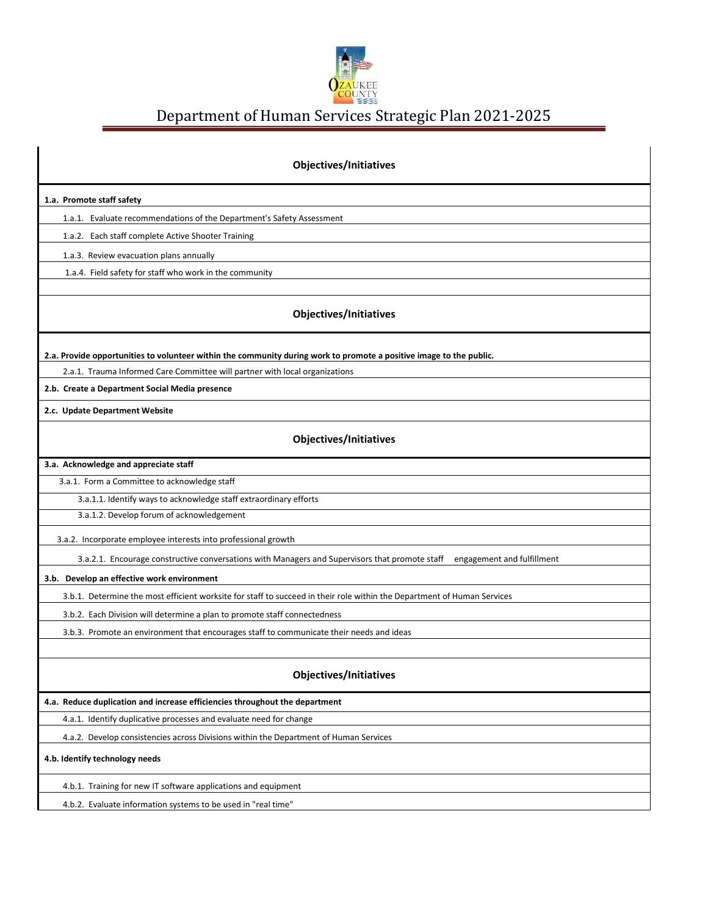

Department of Human Services Strategic Plan 2021-2025

| <b>Objectives/Initiatives</b>                                                                                                |
|------------------------------------------------------------------------------------------------------------------------------|
| 1.a. Promote staff safety                                                                                                    |
| 1.a.1. Evaluate recommendations of the Department's Safety Assessment                                                        |
| 1.a.2. Each staff complete Active Shooter Training                                                                           |
| 1.a.3. Review evacuation plans annually                                                                                      |
| 1.a.4. Field safety for staff who work in the community                                                                      |
|                                                                                                                              |
| Objectives/Initiatives                                                                                                       |
| 2.a. Provide opportunities to volunteer within the community during work to promote a positive image to the public.          |
| 2.a.1. Trauma Informed Care Committee will partner with local organizations                                                  |
| 2.b. Create a Department Social Media presence                                                                               |
| 2.c. Update Department Website                                                                                               |
| <b>Objectives/Initiatives</b>                                                                                                |
| 3.a. Acknowledge and appreciate staff                                                                                        |
| 3.a.1. Form a Committee to acknowledge staff                                                                                 |
| 3.a.1.1. Identify ways to acknowledge staff extraordinary efforts                                                            |
| 3.a.1.2. Develop forum of acknowledgement                                                                                    |
| 3.a.2. Incorporate employee interests into professional growth                                                               |
| 3.a.2.1. Encourage constructive conversations with Managers and Supervisors that promote staff<br>engagement and fulfillment |
| 3.b. Develop an effective work environment                                                                                   |
| 3.b.1. Determine the most efficient worksite for staff to succeed in their role within the Department of Human Services      |
| 3.b.2. Each Division will determine a plan to promote staff connectedness                                                    |
| 3.b.3. Promote an environment that encourages staff to communicate their needs and ideas                                     |
|                                                                                                                              |
| <b>Objectives/Initiatives</b>                                                                                                |
| 4.a. Reduce duplication and increase efficiencies throughout the department                                                  |
| 4.a.1. Identify duplicative processes and evaluate need for change                                                           |
| 4.a.2. Develop consistencies across Divisions within the Department of Human Services                                        |
| 4.b. Identify technology needs                                                                                               |
| 4.b.1. Training for new IT software applications and equipment                                                               |
| 4.b.2. Evaluate information systems to be used in "real time"                                                                |